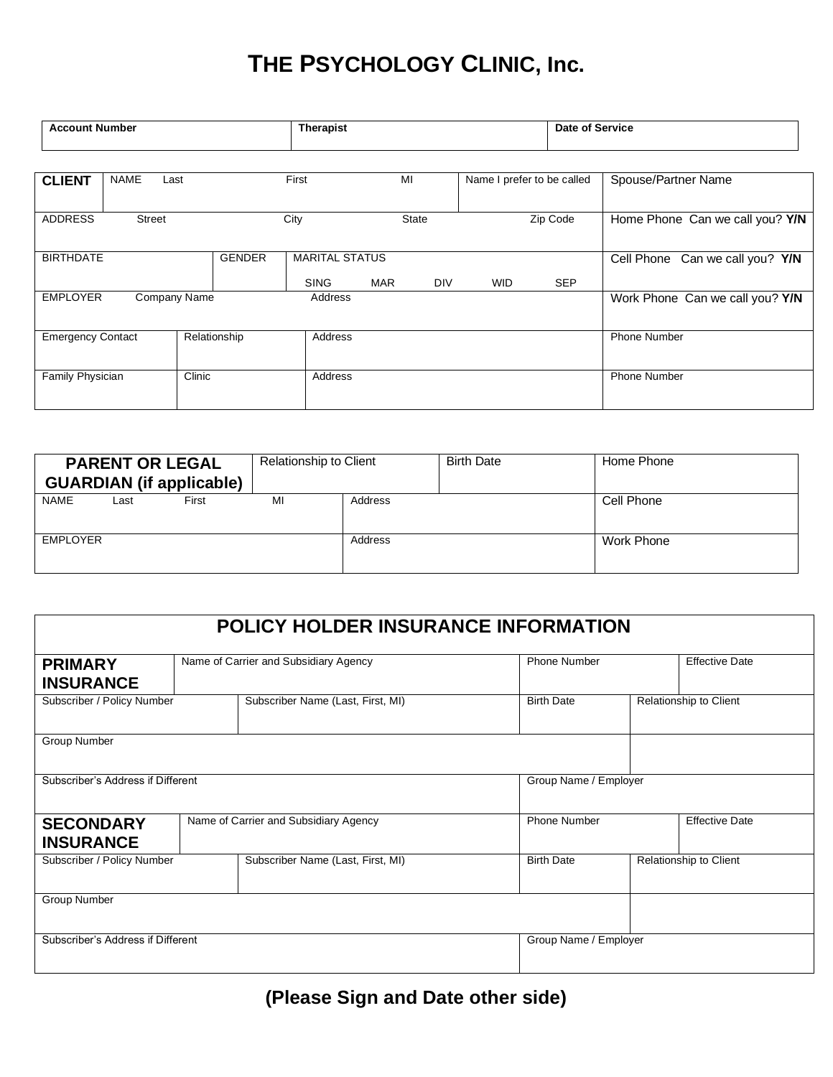## **THE PSYCHOLOGY CLINIC, Inc.**

| <b>Account Number</b>             |                     |  |                       | Therapist   |            |                            |            |                     | <b>Date of Service</b>          |  |
|-----------------------------------|---------------------|--|-----------------------|-------------|------------|----------------------------|------------|---------------------|---------------------------------|--|
|                                   |                     |  |                       |             |            |                            |            |                     |                                 |  |
| <b>CLIENT</b>                     | <b>NAME</b><br>Last |  | First                 | MI          |            | Name I prefer to be called |            | Spouse/Partner Name |                                 |  |
| <b>ADDRESS</b><br>Street          |                     |  | City                  |             | State      | Zip Code                   |            |                     | Home Phone Can we call you? Y/N |  |
| <b>GENDER</b><br><b>BIRTHDATE</b> |                     |  | <b>MARITAL STATUS</b> |             |            |                            |            |                     | Cell Phone Can we call you? Y/N |  |
|                                   |                     |  |                       | <b>SING</b> | <b>MAR</b> | <b>DIV</b>                 | <b>WID</b> | <b>SEP</b>          |                                 |  |
| <b>EMPLOYER</b><br>Company Name   |                     |  | Address               |             |            |                            |            |                     | Work Phone Can we call you? Y/N |  |
| <b>Emergency Contact</b>          |                     |  | Relationship          | Address     |            |                            |            |                     | <b>Phone Number</b>             |  |
| Family Physician                  |                     |  | Clinic                | Address     |            |                            |            |                     | <b>Phone Number</b>             |  |

| <b>PARENT OR LEGAL</b><br><b>GUARDIAN</b> (if applicable) |       | Relationship to Client |         | <b>Birth Date</b> | Home Phone |
|-----------------------------------------------------------|-------|------------------------|---------|-------------------|------------|
| <b>NAME</b><br>Last                                       | First | МI                     | Address |                   | Cell Phone |
| EMPLOYER                                                  |       |                        | Address |                   | Work Phone |

| <b>POLICY HOLDER INSURANCE INFORMATION</b> |                                       |                                       |                       |                        |  |  |  |
|--------------------------------------------|---------------------------------------|---------------------------------------|-----------------------|------------------------|--|--|--|
| <b>PRIMARY</b>                             |                                       | Name of Carrier and Subsidiary Agency | <b>Phone Number</b>   | <b>Effective Date</b>  |  |  |  |
| <b>INSURANCE</b>                           |                                       |                                       |                       |                        |  |  |  |
| Subscriber / Policy Number                 |                                       | Subscriber Name (Last, First, MI)     | <b>Birth Date</b>     | Relationship to Client |  |  |  |
| <b>Group Number</b>                        |                                       |                                       |                       |                        |  |  |  |
| Subscriber's Address if Different          |                                       |                                       |                       | Group Name / Employer  |  |  |  |
| <b>SECONDARY</b><br><b>INSURANCE</b>       | Name of Carrier and Subsidiary Agency |                                       | <b>Phone Number</b>   | <b>Effective Date</b>  |  |  |  |
| Subscriber / Policy Number                 |                                       | Subscriber Name (Last, First, MI)     | <b>Birth Date</b>     | Relationship to Client |  |  |  |
| <b>Group Number</b>                        |                                       |                                       |                       |                        |  |  |  |
| Subscriber's Address if Different          |                                       |                                       | Group Name / Employer |                        |  |  |  |

## **(Please Sign and Date other side)**